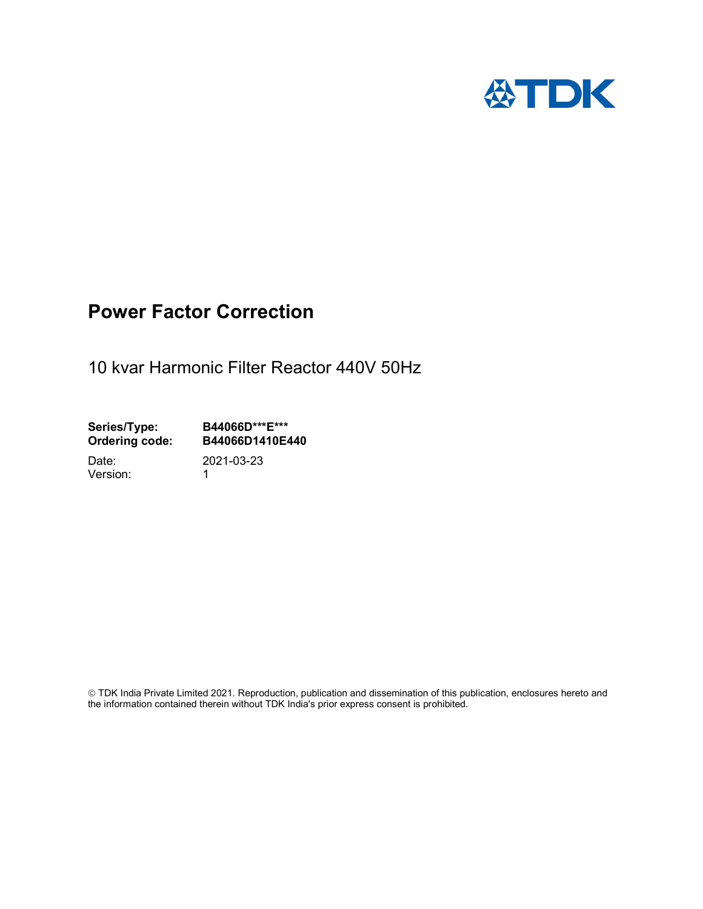

# Power Factor Correction

10 kvar Harmonic Filter Reactor 440V 50Hz

Series/Type: B44066D\*\*\*E\*\*\*<br>Ordering code: B44066D1410E4 B44066D1410E440

Version: 1

Date: 2021-03-23

 TDK India Private Limited 2021. Reproduction, publication and dissemination of this publication, enclosures hereto and the information contained therein without TDK India's prior express consent is prohibited.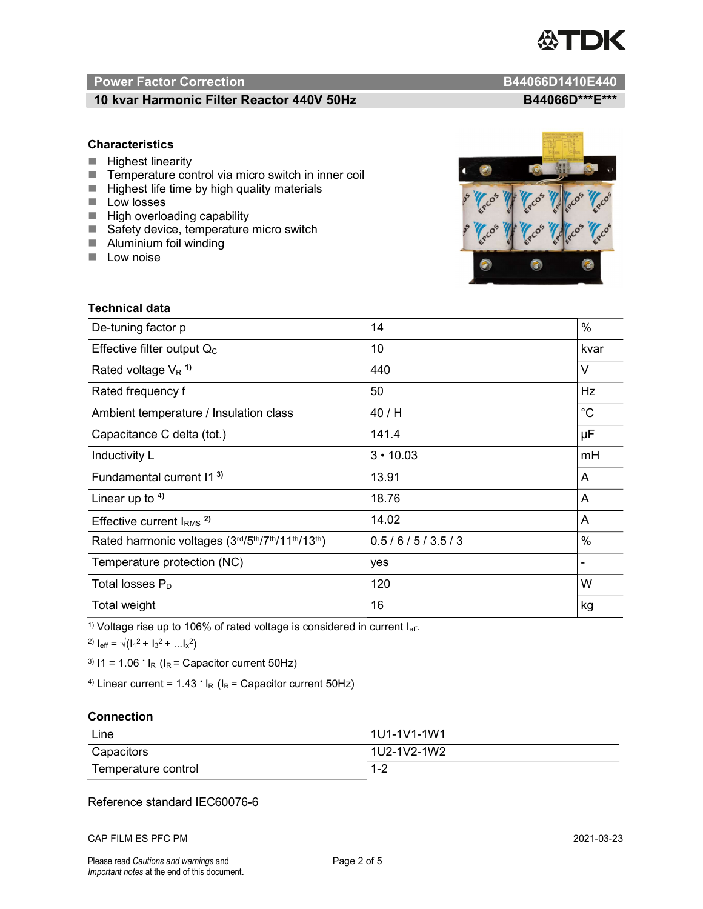

# Power Factor Correction and Content of Content of Content of Content of Content of Content of Content of Content of Content of Content of Content of Content of Content of Content of Content of Content of Content of Content

# 10 kvar Harmonic Filter Reactor 440V 50Hz B44066D\*\*\*E\*\*\*

### **Characteristics**

- $H$  Highest linearity
- Temperature control via micro switch in inner coil
- $\blacksquare$  Highest life time by high quality materials
- **Low losses**
- $\blacksquare$  High overloading capability
- Safety device, temperature micro switch
- **Aluminium foil winding**
- **Low noise**



| Technical data                                  |                 |             |  |
|-------------------------------------------------|-----------------|-------------|--|
| De-tuning factor p                              | 14              | %           |  |
| Effective filter output $Q_C$                   | 10              | kvar        |  |
| Rated voltage $V_R$ <sup>1)</sup>               | 440             | V           |  |
| Rated frequency f                               | 50              | Hz          |  |
| Ambient temperature / Insulation class          | 40 / H          | $^{\circ}C$ |  |
| Capacitance C delta (tot.)                      | 141.4           | μF          |  |
| Inductivity L                                   | $3 \cdot 10.03$ | mH          |  |
| Fundamental current 11 <sup>3)</sup>            | 13.91           | A           |  |
| Linear up to $4$ )                              | 18.76           | A           |  |
| Effective current $IRMS$ <sup>2)</sup>          | 14.02           | A           |  |
| Rated harmonic voltages (3rd/5th/7th/11th/13th) | 0.5/6/5/3.5/3   | %           |  |
| Temperature protection (NC)                     | yes             |             |  |
| Total losses $P_D$                              | 120             | W           |  |
| Total weight                                    | 16              | kg          |  |

<sup>1)</sup> Voltage rise up to 106% of rated voltage is considered in current  $I_{\text{eff}}$ .

<sup>2)</sup>  $I_{eff} = \sqrt{(I_1^2 + I_3^2 + ... I_x^2)}$ 

<sup>3)</sup>  $11 = 1.06$   $\cdot$   $I_R$  ( $I_R$  = Capacitor current 50Hz)

<sup>4)</sup> Linear current =  $1.43$   $\cdot$  I<sub>R</sub> (I<sub>R</sub> = Capacitor current 50Hz)

### **Connection**

| Line                | 1U1-1V1-1W1   |
|---------------------|---------------|
| Capacitors          | l 1U2-1V2-1W2 |
| Temperature control | - 4 ວ<br>ے- ا |

# Reference standard IEC60076-6

CAP FILM ES PFC PM 2021-03-23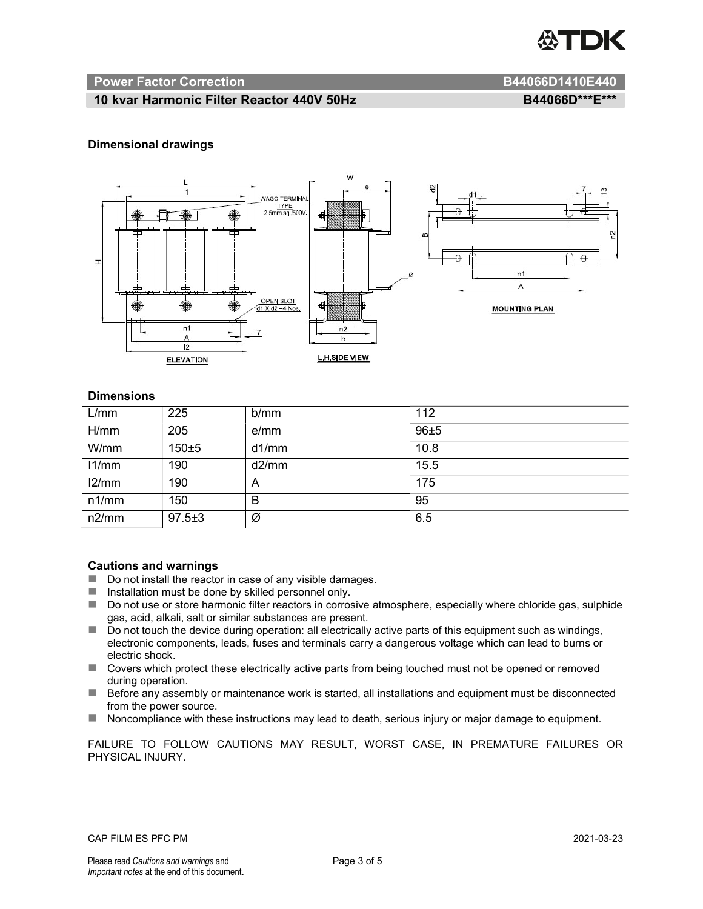

#### Power Factor Correction **B44066D1410E440**

### 10 kvar Harmonic Filter Reactor 440V 50Hz BA4066D\*\*\*E\*\*\*

#### Dimensional drawings



#### **Dimensions**

| L/mm  | 225          | b/mm  | 112  |
|-------|--------------|-------|------|
| H/mm  | 205          | e/mm  | 96±5 |
| W/mm  | 150±5        | d1/mm | 10.8 |
| 11/mm | 190          | d2/mm | 15.5 |
| 12/mm | 190          | A     | 175  |
| n1/mm | 150          | В     | 95   |
| n2/mm | $97.5 \pm 3$ | Ø     | 6.5  |

#### Cautions and warnings

- Do not install the reactor in case of any visible damages.
- $\blacksquare$  Installation must be done by skilled personnel only.
- Do not use or store harmonic filter reactors in corrosive atmosphere, especially where chloride gas, sulphide gas, acid, alkali, salt or similar substances are present.
- Do not touch the device during operation: all electrically active parts of this equipment such as windings, electronic components, leads, fuses and terminals carry a dangerous voltage which can lead to burns or electric shock.
- Covers which protect these electrically active parts from being touched must not be opened or removed during operation.
- Before any assembly or maintenance work is started, all installations and equipment must be disconnected from the power source.
- Noncompliance with these instructions may lead to death, serious injury or major damage to equipment.

FAILURE TO FOLLOW CAUTIONS MAY RESULT, WORST CASE, IN PREMATURE FAILURES OR PHYSICAL INJURY.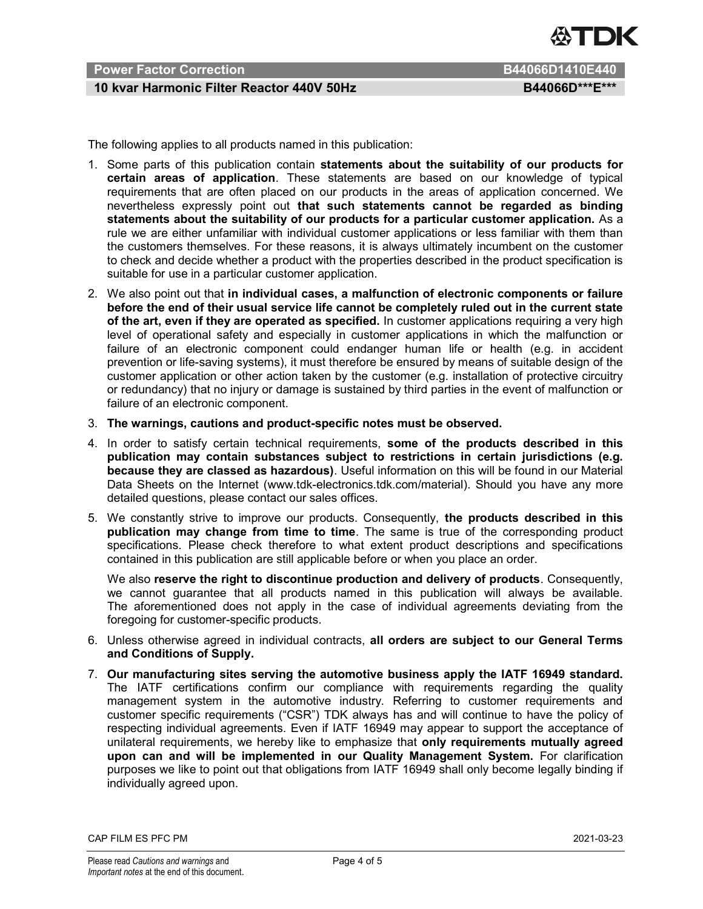

# Power Factor Correction **B644066D1410E440** B44066D1410E440

# 10 kvar Harmonic Filter Reactor 440V 50Hz BA4066D\*\*\*E\*\*\*

The following applies to all products named in this publication:

- 1. Some parts of this publication contain statements about the suitability of our products for certain areas of application. These statements are based on our knowledge of typical requirements that are often placed on our products in the areas of application concerned. We nevertheless expressly point out that such statements cannot be regarded as binding statements about the suitability of our products for a particular customer application. As a rule we are either unfamiliar with individual customer applications or less familiar with them than the customers themselves. For these reasons, it is always ultimately incumbent on the customer to check and decide whether a product with the properties described in the product specification is suitable for use in a particular customer application.
- 2. We also point out that in individual cases, a malfunction of electronic components or failure before the end of their usual service life cannot be completely ruled out in the current state of the art, even if they are operated as specified. In customer applications requiring a very high level of operational safety and especially in customer applications in which the malfunction or failure of an electronic component could endanger human life or health (e.g. in accident prevention or life-saving systems), it must therefore be ensured by means of suitable design of the customer application or other action taken by the customer (e.g. installation of protective circuitry or redundancy) that no injury or damage is sustained by third parties in the event of malfunction or failure of an electronic component.
- 3. The warnings, cautions and product-specific notes must be observed.
- 4. In order to satisfy certain technical requirements, some of the products described in this publication may contain substances subject to restrictions in certain jurisdictions (e.g. because they are classed as hazardous). Useful information on this will be found in our Material Data Sheets on the Internet (www.tdk-electronics.tdk.com/material). Should you have any more detailed questions, please contact our sales offices.
- 5. We constantly strive to improve our products. Consequently, the products described in this publication may change from time to time. The same is true of the corresponding product specifications. Please check therefore to what extent product descriptions and specifications contained in this publication are still applicable before or when you place an order.

We also reserve the right to discontinue production and delivery of products. Consequently, we cannot guarantee that all products named in this publication will always be available. The aforementioned does not apply in the case of individual agreements deviating from the foregoing for customer-specific products.

- 6. Unless otherwise agreed in individual contracts, all orders are subject to our General Terms and Conditions of Supply.
- 7. Our manufacturing sites serving the automotive business apply the IATF 16949 standard. The IATF certifications confirm our compliance with requirements regarding the quality management system in the automotive industry. Referring to customer requirements and customer specific requirements ("CSR") TDK always has and will continue to have the policy of respecting individual agreements. Even if IATF 16949 may appear to support the acceptance of unilateral requirements, we hereby like to emphasize that only requirements mutually agreed upon can and will be implemented in our Quality Management System. For clarification purposes we like to point out that obligations from IATF 16949 shall only become legally binding if individually agreed upon.